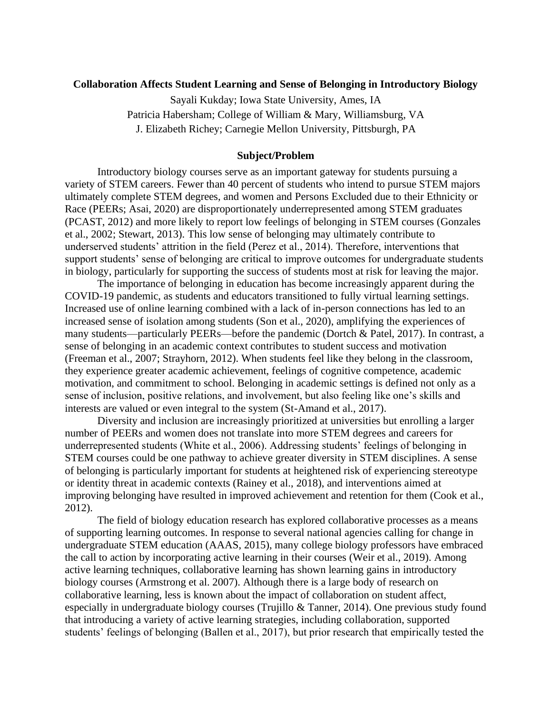# **Collaboration Affects Student Learning and Sense of Belonging in Introductory Biology**

Sayali Kukday; Iowa State University, Ames, IA

Patricia Habersham; College of William & Mary, Williamsburg, VA

J. Elizabeth Richey; Carnegie Mellon University, Pittsburgh, PA

#### **Subject/Problem**

Introductory biology courses serve as an important gateway for students pursuing a variety of STEM careers. Fewer than 40 percent of students who intend to pursue STEM majors ultimately complete STEM degrees, and women and Persons Excluded due to their Ethnicity or Race (PEERs; Asai, 2020) are disproportionately underrepresented among STEM graduates (PCAST, 2012) and more likely to report low feelings of belonging in STEM courses (Gonzales et al., 2002; Stewart, 2013). This low sense of belonging may ultimately contribute to underserved students' attrition in the field (Perez et al., 2014). Therefore, interventions that support students' sense of belonging are critical to improve outcomes for undergraduate students in biology, particularly for supporting the success of students most at risk for leaving the major.

The importance of belonging in education has become increasingly apparent during the COVID-19 pandemic, as students and educators transitioned to fully virtual learning settings. Increased use of online learning combined with a lack of in-person connections has led to an increased sense of isolation among students (Son et al., 2020), amplifying the experiences of many students—particularly PEERs—before the pandemic (Dortch & Patel, 2017). In contrast, a sense of belonging in an academic context contributes to student success and motivation (Freeman et al., 2007; Strayhorn, 2012). When students feel like they belong in the classroom, they experience greater academic achievement, feelings of cognitive competence, academic motivation, and commitment to school. Belonging in academic settings is defined not only as a sense of inclusion, positive relations, and involvement, but also feeling like one's skills and interests are valued or even integral to the system (St-Amand et al., 2017).

Diversity and inclusion are increasingly prioritized at universities but enrolling a larger number of PEERs and women does not translate into more STEM degrees and careers for underrepresented students (White et al., 2006). Addressing students' feelings of belonging in STEM courses could be one pathway to achieve greater diversity in STEM disciplines. A sense of belonging is particularly important for students at heightened risk of experiencing stereotype or identity threat in academic contexts (Rainey et al., 2018), and interventions aimed at improving belonging have resulted in improved achievement and retention for them (Cook et al., 2012).

The field of biology education research has explored collaborative processes as a means of supporting learning outcomes. In response to several national agencies calling for change in undergraduate STEM education (AAAS, 2015), many college biology professors have embraced the call to action by incorporating active learning in their courses (Weir et al., 2019). Among active learning techniques, collaborative learning has shown learning gains in introductory biology courses (Armstrong et al. 2007). Although there is a large body of research on collaborative learning, less is known about the impact of collaboration on student affect, especially in undergraduate biology courses (Trujillo & Tanner, 2014). One previous study found that introducing a variety of active learning strategies, including collaboration, supported students' feelings of belonging (Ballen et al., 2017), but prior research that empirically tested the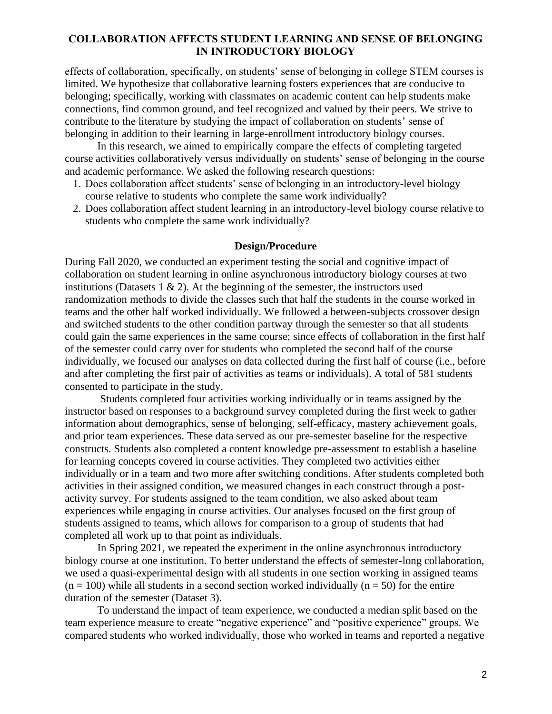effects of collaboration, specifically, on students' sense of belonging in college STEM courses is limited. We hypothesize that collaborative learning fosters experiences that are conducive to belonging; specifically, working with classmates on academic content can help students make connections, find common ground, and feel recognized and valued by their peers. We strive to contribute to the literature by studying the impact of collaboration on students' sense of belonging in addition to their learning in large-enrollment introductory biology courses.

In this research, we aimed to empirically compare the effects of completing targeted course activities collaboratively versus individually on students' sense of belonging in the course and academic performance. We asked the following research questions:

- 1. Does collaboration affect students' sense of belonging in an introductory-level biology course relative to students who complete the same work individually?
- 2. Does collaboration affect student learning in an introductory-level biology course relative to students who complete the same work individually?

### **Design/Procedure**

During Fall 2020, we conducted an experiment testing the social and cognitive impact of collaboration on student learning in online asynchronous introductory biology courses at two institutions (Datasets  $1 \& 2$ ). At the beginning of the semester, the instructors used randomization methods to divide the classes such that half the students in the course worked in teams and the other half worked individually. We followed a between-subjects crossover design and switched students to the other condition partway through the semester so that all students could gain the same experiences in the same course; since effects of collaboration in the first half of the semester could carry over for students who completed the second half of the course individually, we focused our analyses on data collected during the first half of course (i.e., before and after completing the first pair of activities as teams or individuals). A total of 581 students consented to participate in the study.

Students completed four activities working individually or in teams assigned by the instructor based on responses to a background survey completed during the first week to gather information about demographics, sense of belonging, self-efficacy, mastery achievement goals, and prior team experiences. These data served as our pre-semester baseline for the respective constructs. Students also completed a content knowledge pre-assessment to establish a baseline for learning concepts covered in course activities. They completed two activities either individually or in a team and two more after switching conditions. After students completed both activities in their assigned condition, we measured changes in each construct through a postactivity survey. For students assigned to the team condition, we also asked about team experiences while engaging in course activities. Our analyses focused on the first group of students assigned to teams, which allows for comparison to a group of students that had completed all work up to that point as individuals.

In Spring 2021, we repeated the experiment in the online asynchronous introductory biology course at one institution. To better understand the effects of semester-long collaboration, we used a quasi-experimental design with all students in one section working in assigned teams  $(n = 100)$  while all students in a second section worked individually  $(n = 50)$  for the entire duration of the semester (Dataset 3).

To understand the impact of team experience, we conducted a median split based on the team experience measure to create "negative experience" and "positive experience" groups. We compared students who worked individually, those who worked in teams and reported a negative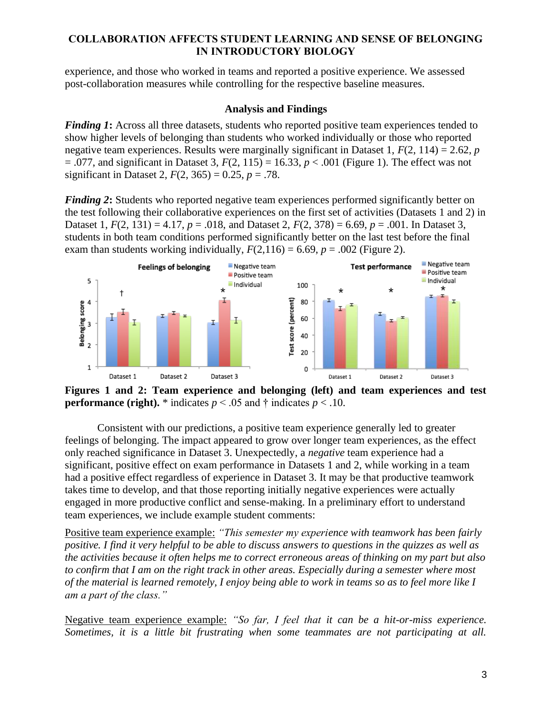experience, and those who worked in teams and reported a positive experience. We assessed post-collaboration measures while controlling for the respective baseline measures.

## **Analysis and Findings**

*Finding 1*: Across all three datasets, students who reported positive team experiences tended to show higher levels of belonging than students who worked individually or those who reported negative team experiences. Results were marginally significant in Dataset 1, *F*(2, 114) = 2.62, *p*  $= .077$ , and significant in Dataset 3,  $F(2, 115) = 16.33$ ,  $p < .001$  (Figure 1). The effect was not significant in Dataset 2,  $F(2, 365) = 0.25$ ,  $p = .78$ .

*Finding 2***:** Students who reported negative team experiences performed significantly better on the test following their collaborative experiences on the first set of activities (Datasets 1 and 2) in Dataset 1,  $F(2, 131) = 4.17$ ,  $p = .018$ , and Dataset 2,  $F(2, 378) = 6.69$ ,  $p = .001$ . In Dataset 3, students in both team conditions performed significantly better on the last test before the final exam than students working individually,  $F(2,116) = 6.69$ ,  $p = .002$  (Figure 2).



**Figures 1 and 2: Team experience and belonging (left) and team experiences and test performance (right).**  $*$  indicates  $p < .05$  and  $\dagger$  indicates  $p < .10$ .

Consistent with our predictions, a positive team experience generally led to greater feelings of belonging. The impact appeared to grow over longer team experiences, as the effect only reached significance in Dataset 3. Unexpectedly, a *negative* team experience had a significant, positive effect on exam performance in Datasets 1 and 2, while working in a team had a positive effect regardless of experience in Dataset 3. It may be that productive teamwork takes time to develop, and that those reporting initially negative experiences were actually engaged in more productive conflict and sense-making. In a preliminary effort to understand team experiences, we include example student comments:

Positive team experience example: *"This semester my experience with teamwork has been fairly positive. I find it very helpful to be able to discuss answers to questions in the quizzes as well as the activities because it often helps me to correct erroneous areas of thinking on my part but also to confirm that I am on the right track in other areas. Especially during a semester where most of the material is learned remotely, I enjoy being able to work in teams so as to feel more like I am a part of the class."*

Negative team experience example: *"So far, I feel that it can be a hit-or-miss experience. Sometimes, it is a little bit frustrating when some teammates are not participating at all.*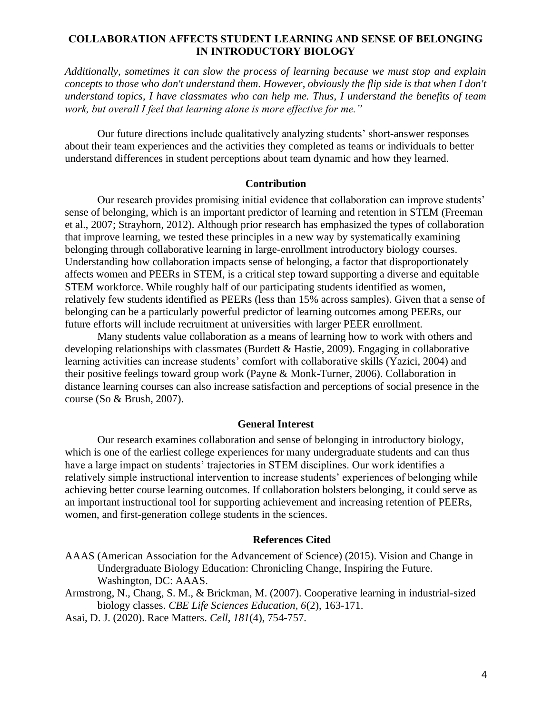*Additionally, sometimes it can slow the process of learning because we must stop and explain concepts to those who don't understand them. However, obviously the flip side is that when I don't understand topics, I have classmates who can help me. Thus, I understand the benefits of team work, but overall I feel that learning alone is more effective for me."*

Our future directions include qualitatively analyzing students' short-answer responses about their team experiences and the activities they completed as teams or individuals to better understand differences in student perceptions about team dynamic and how they learned.

### **Contribution**

Our research provides promising initial evidence that collaboration can improve students' sense of belonging, which is an important predictor of learning and retention in STEM (Freeman et al., 2007; Strayhorn, 2012). Although prior research has emphasized the types of collaboration that improve learning, we tested these principles in a new way by systematically examining belonging through collaborative learning in large-enrollment introductory biology courses. Understanding how collaboration impacts sense of belonging, a factor that disproportionately affects women and PEERs in STEM, is a critical step toward supporting a diverse and equitable STEM workforce. While roughly half of our participating students identified as women, relatively few students identified as PEERs (less than 15% across samples). Given that a sense of belonging can be a particularly powerful predictor of learning outcomes among PEERs, our future efforts will include recruitment at universities with larger PEER enrollment.

Many students value collaboration as a means of learning how to work with others and developing relationships with classmates (Burdett & Hastie, 2009). Engaging in collaborative learning activities can increase students' comfort with collaborative skills (Yazici, 2004) and their positive feelings toward group work (Payne & Monk-Turner, 2006). Collaboration in distance learning courses can also increase satisfaction and perceptions of social presence in the course (So & Brush, 2007).

#### **General Interest**

Our research examines collaboration and sense of belonging in introductory biology, which is one of the earliest college experiences for many undergraduate students and can thus have a large impact on students' trajectories in STEM disciplines. Our work identifies a relatively simple instructional intervention to increase students' experiences of belonging while achieving better course learning outcomes. If collaboration bolsters belonging, it could serve as an important instructional tool for supporting achievement and increasing retention of PEERs, women, and first-generation college students in the sciences.

#### **References Cited**

- AAAS (American Association for the Advancement of Science) (2015). Vision and Change in Undergraduate Biology Education: Chronicling Change, Inspiring the Future. Washington, DC: AAAS.
- Armstrong, N., Chang, S. M., & Brickman, M. (2007). Cooperative learning in industrial-sized biology classes. *CBE Life Sciences Education, 6*(2), 163-171.
- Asai, D. J. (2020). Race Matters. *Cell*, *181*(4), 754-757.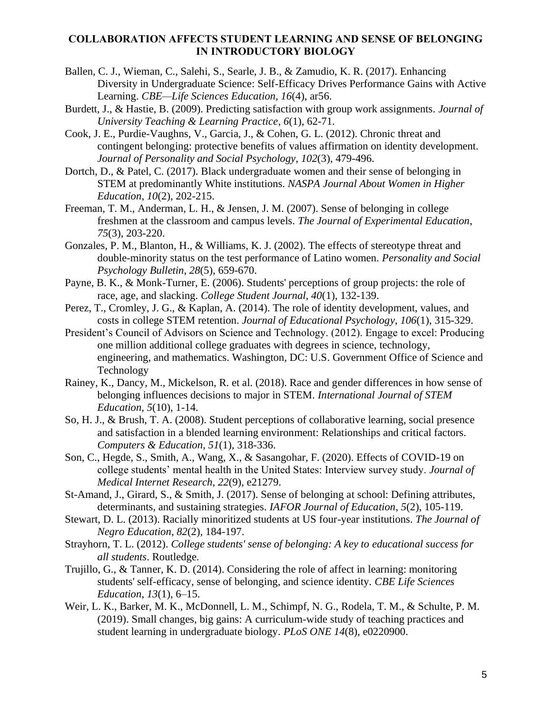- Ballen, C. J., Wieman, C., Salehi, S., Searle, J. B., & Zamudio, K. R. (2017). Enhancing Diversity in Undergraduate Science: Self-Efficacy Drives Performance Gains with Active Learning. *CBE—Life Sciences Education, 16*(4), ar56.
- Burdett, J., & Hastie, B. (2009). Predicting satisfaction with group work assignments. *Journal of University Teaching & Learning Practice*, *6*(1), 62-71.
- Cook, J. E., Purdie-Vaughns, V., Garcia, J., & Cohen, G. L. (2012). Chronic threat and contingent belonging: protective benefits of values affirmation on identity development. *Journal of Personality and Social Psychology*, *102*(3), 479-496.
- Dortch, D., & Patel, C. (2017). Black undergraduate women and their sense of belonging in STEM at predominantly White institutions. *NASPA Journal About Women in Higher Education*, *10*(2), 202-215.
- Freeman, T. M., Anderman, L. H., & Jensen, J. M. (2007). Sense of belonging in college freshmen at the classroom and campus levels. *The Journal of Experimental Education*, *75*(3), 203-220.
- Gonzales, P. M., Blanton, H., & Williams, K. J. (2002). The effects of stereotype threat and double-minority status on the test performance of Latino women. *Personality and Social Psychology Bulletin*, *28*(5), 659-670.
- Payne, B. K., & Monk-Turner, E. (2006). Students' perceptions of group projects: the role of race, age, and slacking. *College Student Journal, 40*(1), 132-139.
- Perez, T., Cromley, J. G., & Kaplan, A. (2014). The role of identity development, values, and costs in college STEM retention. *Journal of Educational Psychology*, *106*(1), 315-329.
- President's Council of Advisors on Science and Technology. (2012). Engage to excel: Producing one million additional college graduates with degrees in science, technology, engineering, and mathematics. Washington, DC: U.S. Government Office of Science and Technology
- Rainey, K., Dancy, M., Mickelson, R. et al. (2018). Race and gender differences in how sense of belonging influences decisions to major in STEM. *International Journal of STEM Education, 5*(10), 1-14.
- So, H. J., & Brush, T. A. (2008). Student perceptions of collaborative learning, social presence and satisfaction in a blended learning environment: Relationships and critical factors. *Computers & Education*, *51*(1), 318-336.
- Son, C., Hegde, S., Smith, A., Wang, X., & Sasangohar, F. (2020). Effects of COVID-19 on college students' mental health in the United States: Interview survey study. *Journal of Medical Internet Research*, *22*(9), e21279.
- St-Amand, J., Girard, S., & Smith, J. (2017). Sense of belonging at school: Defining attributes, determinants, and sustaining strategies. *IAFOR Journal of Education*, *5*(2), 105-119.
- Stewart, D. L. (2013). Racially minoritized students at US four-year institutions. *The Journal of Negro Education*, *82*(2), 184-197.
- Strayhorn, T. L. (2012). *College students' sense of belonging: A key to educational success for all students*. Routledge.
- Trujillo, G., & Tanner, K. D. (2014). Considering the role of affect in learning: monitoring students' self-efficacy, sense of belonging, and science identity. *CBE Life Sciences Education*, *13*(1), 6–15.
- Weir, L. K., Barker, M. K., McDonnell, L. M., Schimpf, N. G., Rodela, T. M., & Schulte, P. M. (2019). Small changes, big gains: A curriculum-wide study of teaching practices and student learning in undergraduate biology. *PLoS ONE 14*(8), e0220900.